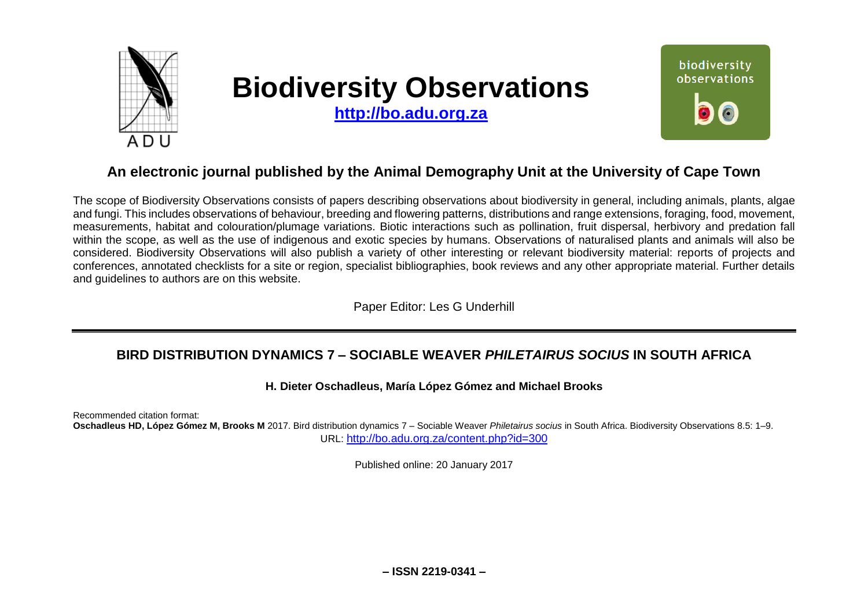

# **Biodiversity Observations**

**[http://bo.adu.org.za](http://bo.adu.org.za/)**



# **An electronic journal published by the Animal Demography Unit at the University of Cape Town**

The scope of Biodiversity Observations consists of papers describing observations about biodiversity in general, including animals, plants, algae and fungi. This includes observations of behaviour, breeding and flowering patterns, distributions and range extensions, foraging, food, movement, measurements, habitat and colouration/plumage variations. Biotic interactions such as pollination, fruit dispersal, herbivory and predation fall within the scope, as well as the use of indigenous and exotic species by humans. Observations of naturalised plants and animals will also be considered. Biodiversity Observations will also publish a variety of other interesting or relevant biodiversity material: reports of projects and conferences, annotated checklists for a site or region, specialist bibliographies, book reviews and any other appropriate material. Further details and guidelines to authors are on this website.

Paper Editor: Les G Underhill

## **BIRD DISTRIBUTION DYNAMICS 7 – SOCIABLE WEAVER** *PHILETAIRUS SOCIUS* **IN SOUTH AFRICA**

#### **H. Dieter Oschadleus, María López Gómez and Michael Brooks**

Recommended citation format:

**Oschadleus HD, López Gómez M, Brooks M** 2017. Bird distribution dynamics 7 – Sociable Weaver *Philetairus socius* in South Africa. Biodiversity Observations 8.5: 1–9. URL: <http://bo.adu.org.za/content.php?id=300>

Published online: 20 January 2017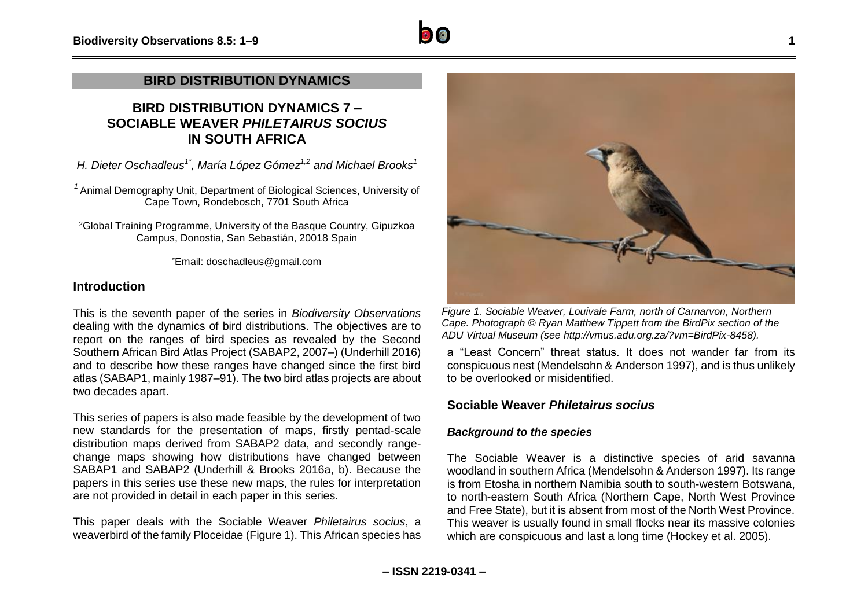## **BIRD DISTRIBUTION DYNAMICS**

## **BIRD DISTRIBUTION DYNAMICS 7 – SOCIABLE WEAVER** *PHILETAIRUS SOCIUS* **IN SOUTH AFRICA**

*H. Dieter Oschadleus1\* , María López Gómez1,2 and Michael Brooks<sup>1</sup>*

*<sup>1</sup>* Animal Demography Unit, Department of Biological Sciences, University of Cape Town, Rondebosch, 7701 South Africa

<sup>2</sup>Global Training Programme, University of the Basque Country, Gipuzkoa Campus, Donostia, San Sebastián, 20018 Spain

\*Email: doschadleus@gmail.com

#### **Introduction**

This is the seventh paper of the series in *Biodiversity Observations* dealing with the dynamics of bird distributions. The objectives are to report on the ranges of bird species as revealed by the Second Southern African Bird Atlas Project (SABAP2, 2007–) (Underhill 2016) and to describe how these ranges have changed since the first bird atlas (SABAP1, mainly 1987–91). The two bird atlas projects are about two decades apart.

This series of papers is also made feasible by the development of two new standards for the presentation of maps, firstly pentad-scale distribution maps derived from SABAP2 data, and secondly rangechange maps showing how distributions have changed between SABAP1 and SABAP2 (Underhill & Brooks 2016a, b). Because the papers in this series use these new maps, the rules for interpretation are not provided in detail in each paper in this series.

This paper deals with the Sociable Weaver *Philetairus socius*, a weaverbird of the family Ploceidae (Figure 1). This African species has



*Figure 1. Sociable Weaver, Louivale Farm, north of Carnarvon, Northern Cape. Photograph © Ryan Matthew Tippett from the BirdPix section of the ADU Virtual Museum (see [http://vmus.adu.org.za/?vm=BirdPix-8458\)](http://vmus.adu.org.za/?vm=BirdPix-8458).*

a "Least Concern" threat status. It does not wander far from its conspicuous nest (Mendelsohn & Anderson 1997), and is thus unlikely to be overlooked or misidentified.

#### **Sociable Weaver** *Philetairus socius*

#### *Background to the species*

The Sociable Weaver is a distinctive species of arid savanna woodland in southern Africa (Mendelsohn & Anderson 1997). Its range is from Etosha in northern Namibia south to south-western Botswana, to north-eastern South Africa (Northern Cape, North West Province and Free State), but it is absent from most of the North West Province. This weaver is usually found in small flocks near its massive colonies which are conspicuous and last a long time (Hockey et al. 2005).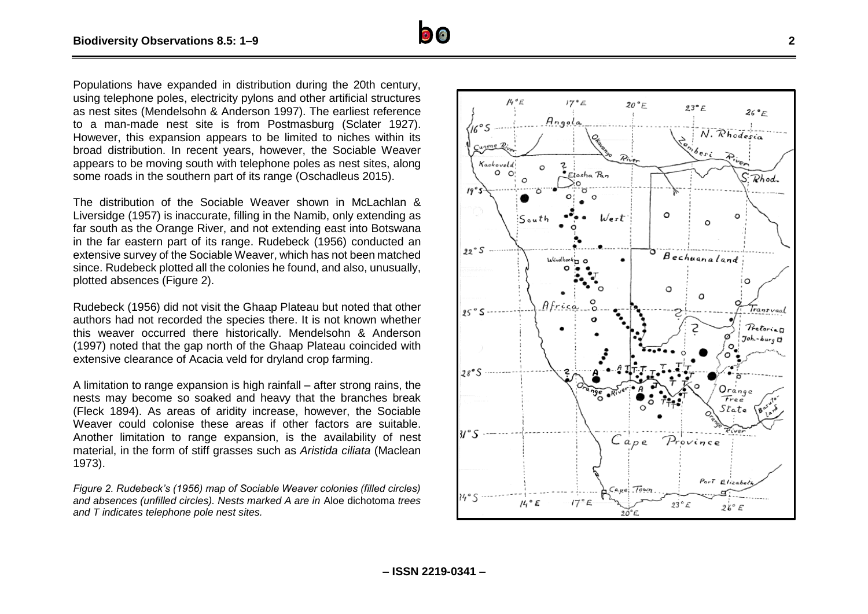Populations have expanded in distribution during the 20th century, using telephone poles, electricity pylons and other artificial structures as nest sites (Mendelsohn & Anderson 1997). The earliest reference to a man -made nest site is from Postmasburg (Sclater 1927). However, this expansion appears to be limited to niches within its broad distribution. In recent years, however, the Sociable Weaver appears to be moving south with telephone poles as nest sites, along some roads in the southern part of its range (Oschadleus 2015).

The distribution of the Sociable Weaver shown in McLachlan & Liversidge (1957) is inaccurate, filling in the Namib, only extending as far south as the Orange River, and not extending east into Botswana in the far eastern part of its range. Rudebeck (1956) conducted an extensive survey of the Sociable Weaver, which has not been matched since. Rudebeck plotted all the colonies he found, and also, unusually, plotted absences (Figure 2).

Rudebeck (1956) did not visit the Ghaap Plateau but noted that other authors had not recorded the species there. It is not known whether this weaver occurred there historically. Mendelsohn & Anderson (1997) note d that the gap north of the Ghaap Plateau coincide d with extensive clearance of Acacia veld for dryland crop farming .

A limitation to range expansion is high rainfall – after strong rains, the nests may become so soaked and heavy that the branches break (Fleck 1894). As areas of aridity increase, however, the Sociable Weaver could colonise these areas if other factors are suitable. Another limitation to range expansion, is the availability of nest material, in the form of stiff grasses such as *Aristida ciliata* (Maclean 1973).

*Figure 2. Rudebeck's (1956) map of Sociable Weaver colonies (filled circles) and absences (unfilled circles). Nests marked A are in* Aloe dichotoma *trees and T indicates telephone pole nest sites.* 



 $\bullet$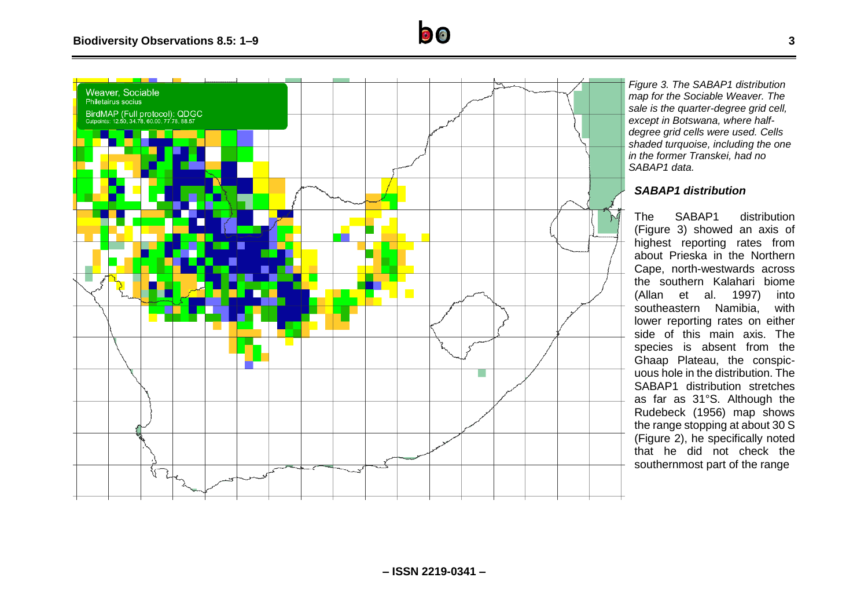



*Figure 3. The SABAP1 distribution map for the Sociable Weaver. The sale is the quarter-degree grid cell, except in Botswana, where halfdegree grid cells were used. Cells shaded turquoise, including the one in the former Transkei, had no SABAP1 data.*

#### *SABAP1 distribution*

The SABAP1 distribution (Figure 3) showed an axis of highest reporting rates from about Prieska in the Northern Cape, north-westwards across the southern Kalahari biome (Allan et al. 1997) into southeastern Namibia, with lower reporting rates on either side of this main axis. The species is absent from the Ghaap Plateau, the conspicuous hole in the distribution. The SABAP1 distribution stretches as far as 31°S. Although the Rudebeck (1956) map shows the range stopping at about 30 S (Figure 2), he specifically noted that he did not check the southernmost part of the range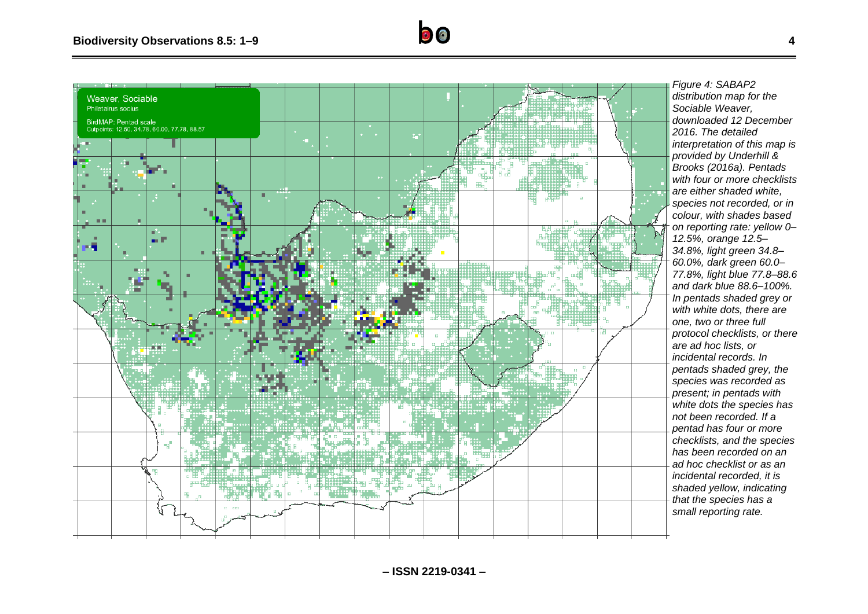

*Figure 4: SABAP2 distribution map for the Sociable Weaver, downloaded 12 December 2016. The detailed interpretation of this map is provided by Underhill & Brooks (2016a). Pentads with four or more checklists are either shaded white, species not recorded, or in colour, with shades based on reporting rate: yellow 0– 12.5%, orange 12.5– 34.8%, light green 34.8– 60.0%, dark green 60.0– 77.8%, light blue 77.8–88.6 and dark blue 88.6–100%. In pentads shaded grey or with white dots, there are one, two or three full protocol checklists, or there are ad hoc lists, or incidental records. In pentads shaded grey, the species was recorded as present; in pentads with white dots the species has not been recorded. If a pentad has four or more checklists, and the species has been recorded on an ad hoc checklist or as an incidental recorded, it is shaded yellow, indicating that the species has a small reporting rate.*

 $\bullet$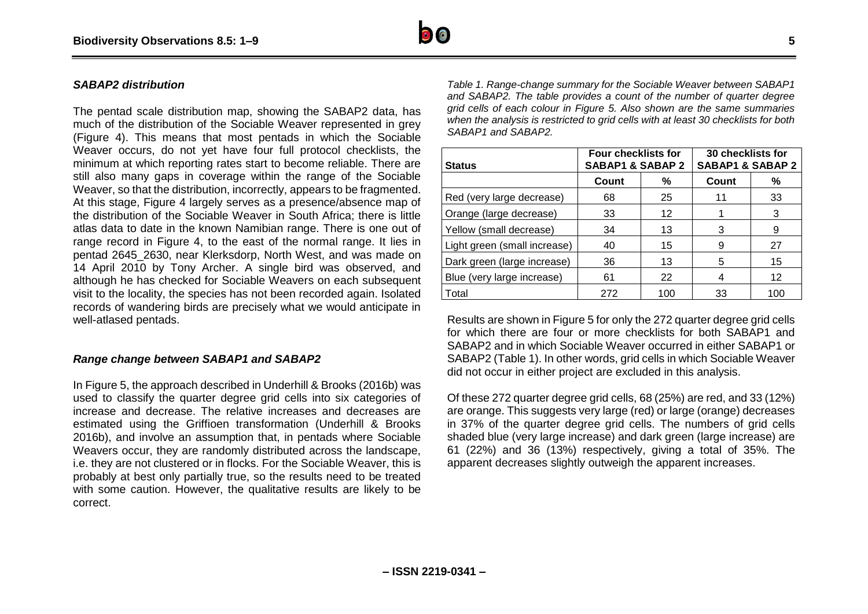

#### *SABAP2 distribution*

The pentad scale distribution map, showing the SABAP2 data, has much of the distribution of the Sociable Weaver represented in grey (Figure 4). This means that most pentads in which the Sociable Weaver occurs, do not yet have four full protocol checklists, the minimum at which reporting rates start to become reliable. There are still also many gaps in coverage within the range of the Sociable Weaver, so that the distribution, incorrectly, appears to be fragmented. At this stage, Figure 4 largely serves as a presence/absence map of the distribution of the Sociable Weaver in South Africa; there is little atlas data to date in the known Namibian range. There is one out of range record in Figure 4, to the east of the normal range. It lies in pentad 2645\_2630, near Klerksdorp, North West, and was made on 14 April 2010 by Tony Archer. A single bird was observed, and although he has checked for Sociable Weavers on each subsequent visit to the locality, the species has not been recorded again. Isolated records of wandering birds are precisely what we would anticipate in well-atlased pentads.

#### *Range change between SABAP1 and SABAP2*

In Figure 5, the approach described in Underhill & Brooks (2016b) was used to classify the quarter degree grid cells into six categories of increase and decrease. The relative increases and decreases are estimated using the Griffioen transformation (Underhill & Brooks 2016b), and involve an assumption that, in pentads where Sociable Weavers occur, they are randomly distributed across the landscape, i.e. they are not clustered or in flocks. For the Sociable Weaver, this is probably at best only partially true, so the results need to be treated with some caution. However, the qualitative results are likely to be correct.

*Table 1. Range-change summary for the Sociable Weaver between SABAP1 and SABAP2. The table provides a count of the number of quarter degree grid cells of each colour in Figure 5. Also shown are the same summaries when the analysis is restricted to grid cells with at least 30 checklists for both SABAP1 and SABAP2.*

| <b>Status</b>                | <b>Four checklists for</b><br><b>SABAP1 &amp; SABAP 2</b> |     | 30 checklists for<br><b>SABAP1 &amp; SABAP 2</b> |     |
|------------------------------|-----------------------------------------------------------|-----|--------------------------------------------------|-----|
|                              | Count                                                     | %   | Count                                            | ℅   |
| Red (very large decrease)    | 68                                                        | 25  | 11                                               | 33  |
| Orange (large decrease)      | 33                                                        | 12  |                                                  | 3   |
| Yellow (small decrease)      | 34                                                        | 13  | 3                                                | 9   |
| Light green (small increase) | 40                                                        | 15  | 9                                                | 27  |
| Dark green (large increase)  | 36                                                        | 13  | 5                                                | 15  |
| Blue (very large increase)   | 61                                                        | 22  | 4                                                | 12  |
| Total                        | 272                                                       | 100 | 33                                               | 100 |

Results are shown in Figure 5 for only the 272 quarter degree grid cells for which there are four or more checklists for both SABAP1 and SABAP2 and in which Sociable Weaver occurred in either SABAP1 or SABAP2 (Table 1). In other words, grid cells in which Sociable Weaver did not occur in either project are excluded in this analysis.

Of these 272 quarter degree grid cells, 68 (25%) are red, and 33 (12%) are orange. This suggests very large (red) or large (orange) decreases in 37% of the quarter degree grid cells. The numbers of grid cells shaded blue (very large increase) and dark green (large increase) are 61 (22%) and 36 (13%) respectively, giving a total of 35%. The apparent decreases slightly outweigh the apparent increases.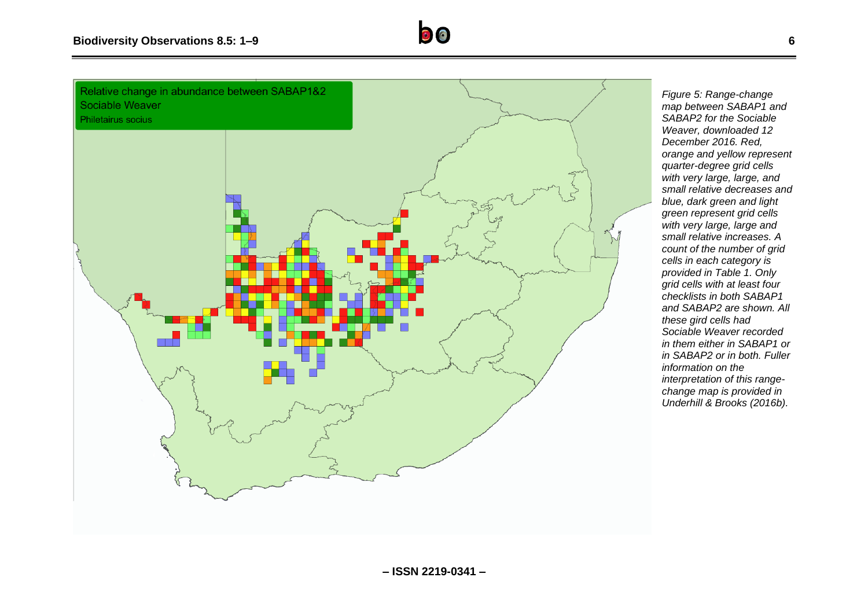

Relative change in abundance between SABAP1&2 Sociable Weaver



*Figure 5: Range-change map between SABAP1 and SABAP2 for the Sociable Weaver, downloaded 12 December 2016. Red, orange and yellow represent quarter-degree grid cells with very large, large, and small relative decreases and blue, dark green and light green represent grid cells with very large, large and small relative increases. A count of the number of grid cells in each category is provided in Table 1. Only grid cells with at least four checklists in both SABAP1 and SABAP2 are shown. All these gird cells had Sociable Weaver recorded in them either in SABAP1 or in SABAP2 or in both. Fuller information on the interpretation of this rangechange map is provided in Underhill & Brooks (2016b).*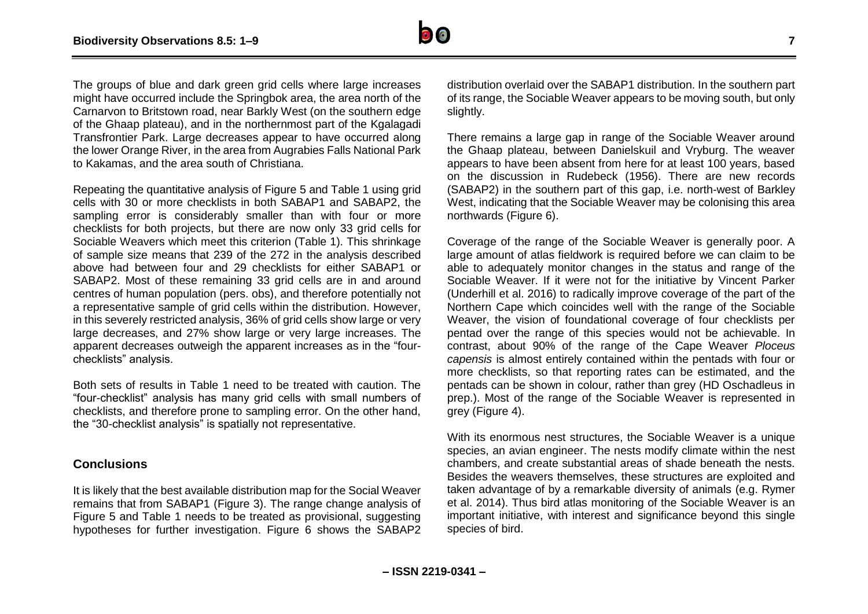

The groups of blue and dark green grid cells where large increases might have occurred include the Springbok area, the area north of the Carnarvon to Britstown road, near Barkly West (on the southern edge of the Ghaap plateau), and in the northernmost part of the Kgalagadi Transfrontier Park. Large decreases appear to have occurred along the lower Orange River, in the area from Augrabies Falls National Park to Kakamas, and the area south of Christiana.

Repeating the quantitative analysis of Figure 5 and Table 1 using grid cells with 30 or more checklists in both SABAP1 and SABAP2, the sampling error is considerably smaller than with four or more checklists for both projects, but there are now only 33 grid cells for Sociable Weavers which meet this criterion (Table 1). This shrinkage of sample size means that 239 of the 272 in the analysis described above had between four and 29 checklists for either SABAP1 or SABAP2. Most of these remaining 33 grid cells are in and around centres of human population (pers. obs), and therefore potentially not a representative sample of grid cells within the distribution. However, in this severely restricted analysis, 36% of grid cells show large or very large decreases, and 27% show large or very large increases. The apparent decreases outweigh the apparent increases as in the "fourchecklists" analysis.

Both sets of results in Table 1 need to be treated with caution. The "four-checklist" analysis has many grid cells with small numbers of checklists, and therefore prone to sampling error. On the other hand, the "30-checklist analysis" is spatially not representative.

#### **Conclusions**

It is likely that the best available distribution map for the Social Weaver remains that from SABAP1 (Figure 3). The range change analysis of Figure 5 and Table 1 needs to be treated as provisional, suggesting hypotheses for further investigation. Figure 6 shows the SABAP2 distribution overlaid over the SABAP1 distribution. In the southern part of its range, the Sociable Weaver appears to be moving south, but only slightly.

There remains a large gap in range of the Sociable Weaver around the Ghaap plateau, between Danielskuil and Vryburg. The weaver appears to have been absent from here for at least 100 years, based on the discussion in Rudebeck (1956). There are new records (SABAP2) in the southern part of this gap, i.e. north-west of Barkley West, indicating that the Sociable Weaver may be colonising this area northwards (Figure 6).

Coverage of the range of the Sociable Weaver is generally poor. A large amount of atlas fieldwork is required before we can claim to be able to adequately monitor changes in the status and range of the Sociable Weaver. If it were not for the initiative by Vincent Parker (Underhill et al. 2016) to radically improve coverage of the part of the Northern Cape which coincides well with the range of the Sociable Weaver, the vision of foundational coverage of four checklists per pentad over the range of this species would not be achievable. In contrast, about 90% of the range of the Cape Weaver *Ploceus capensis* is almost entirely contained within the pentads with four or more checklists, so that reporting rates can be estimated, and the pentads can be shown in colour, rather than grey (HD Oschadleus in prep.). Most of the range of the Sociable Weaver is represented in grey (Figure 4).

With its enormous nest structures, the Sociable Weaver is a unique species, an avian engineer. The nests modify climate within the nest chambers, and create substantial areas of shade beneath the nests. Besides the weavers themselves, these structures are exploited and taken advantage of by a remarkable diversity of animals (e.g. Rymer et al. 2014). Thus bird atlas monitoring of the Sociable Weaver is an important initiative, with interest and significance beyond this single species of bird.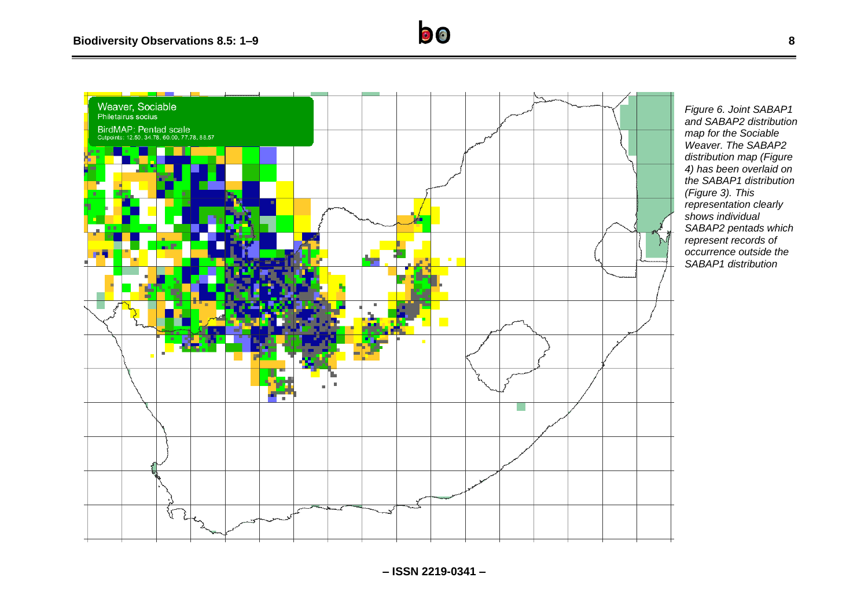

*Figure 6. Joint SABAP1 and SABAP2 distribution map for the Sociable Weaver. The SABAP2 distribution map (Figure 4) has been overlaid on the SABAP1 distribution (Figure 3). This representation clearly shows individual SABAP2 pentads which represent records of occurrence outside the SABAP1 distribution*